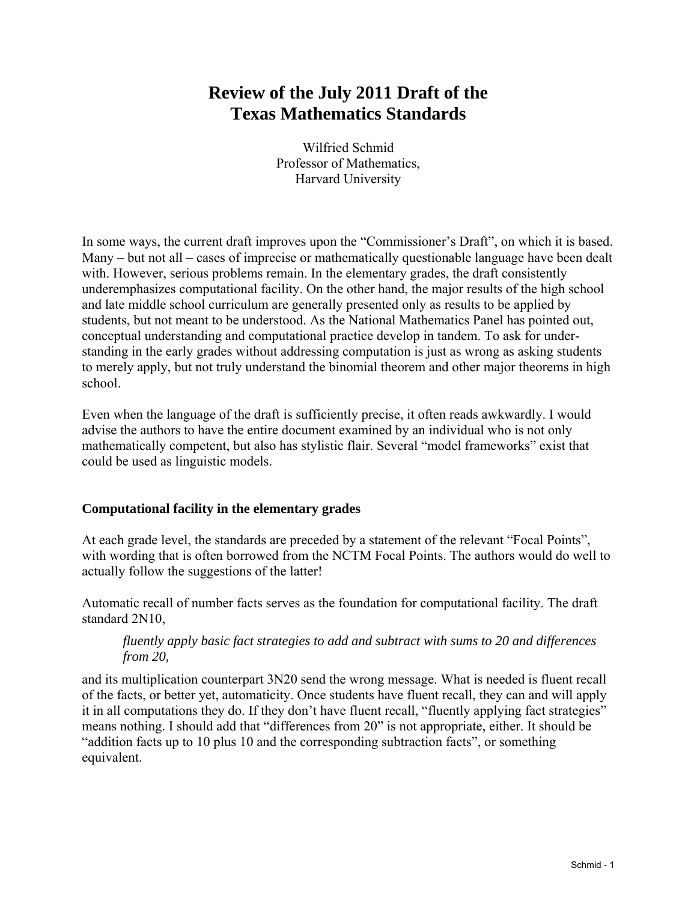# **Review of the July 2011 Draft of the Texas Mathematics Standards**

Wilfried Schmid Professor of Mathematics, Harvard University

In some ways, the current draft improves upon the "Commissioner's Draft", on which it is based. Many – but not all – cases of imprecise or mathematically questionable language have been dealt with. However, serious problems remain. In the elementary grades, the draft consistently underemphasizes computational facility. On the other hand, the major results of the high school and late middle school curriculum are generally presented only as results to be applied by students, but not meant to be understood. As the National Mathematics Panel has pointed out, conceptual understanding and computational practice develop in tandem. To ask for understanding in the early grades without addressing computation is just as wrong as asking students to merely apply, but not truly understand the binomial theorem and other major theorems in high school.

Even when the language of the draft is sufficiently precise, it often reads awkwardly. I would advise the authors to have the entire document examined by an individual who is not only mathematically competent, but also has stylistic flair. Several "model frameworks" exist that could be used as linguistic models.

## **Computational facility in the elementary grades**

At each grade level, the standards are preceded by a statement of the relevant "Focal Points", with wording that is often borrowed from the NCTM Focal Points. The authors would do well to actually follow the suggestions of the latter!

Automatic recall of number facts serves as the foundation for computational facility. The draft standard 2N10,

## *fluently apply basic fact strategies to add and subtract with sums to 20 and differences from 20,*

and its multiplication counterpart 3N20 send the wrong message. What is needed is fluent recall of the facts, or better yet, automaticity. Once students have fluent recall, they can and will apply it in all computations they do. If they don't have fluent recall, "fluently applying fact strategies" means nothing. I should add that "differences from 20" is not appropriate, either. It should be "addition facts up to 10 plus 10 and the corresponding subtraction facts", or something equivalent.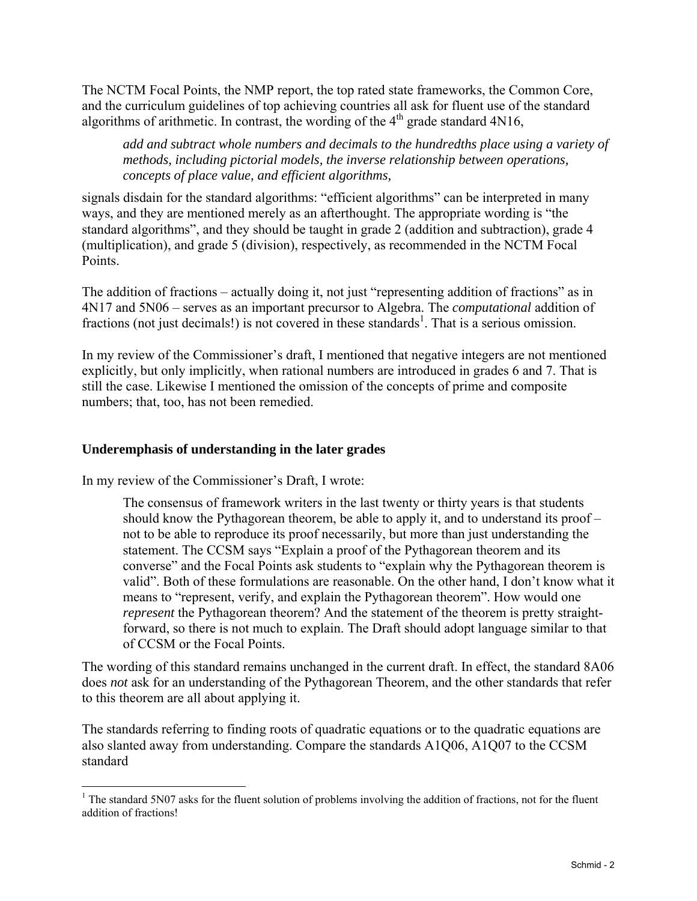The NCTM Focal Points, the NMP report, the top rated state frameworks, the Common Core, and the curriculum guidelines of top achieving countries all ask for fluent use of the standard algorithms of arithmetic. In contrast, the wording of the  $4<sup>th</sup>$  grade standard  $4N16$ ,

*add and subtract whole numbers and decimals to the hundredths place using a variety of methods, including pictorial models, the inverse relationship between operations, concepts of place value, and efficient algorithms,* 

signals disdain for the standard algorithms: "efficient algorithms" can be interpreted in many ways, and they are mentioned merely as an afterthought. The appropriate wording is "the standard algorithms", and they should be taught in grade 2 (addition and subtraction), grade 4 (multiplication), and grade 5 (division), respectively, as recommended in the NCTM Focal Points.

The addition of fractions – actually doing it, not just "representing addition of fractions" as in 4N17 and 5N06 – serves as an important precursor to Algebra. The *computational* addition of fractions (not just decimals!) is not covered in these standards<sup>1</sup>. That is a serious omission.

In my review of the Commissioner's draft, I mentioned that negative integers are not mentioned explicitly, but only implicitly, when rational numbers are introduced in grades 6 and 7. That is still the case. Likewise I mentioned the omission of the concepts of prime and composite numbers; that, too, has not been remedied.

#### **Underemphasis of understanding in the later grades**

In my review of the Commissioner's Draft, I wrote:

 $\overline{a}$ 

The consensus of framework writers in the last twenty or thirty years is that students should know the Pythagorean theorem, be able to apply it, and to understand its proof – not to be able to reproduce its proof necessarily, but more than just understanding the statement. The CCSM says "Explain a proof of the Pythagorean theorem and its converse" and the Focal Points ask students to "explain why the Pythagorean theorem is valid". Both of these formulations are reasonable. On the other hand, I don't know what it means to "represent, verify, and explain the Pythagorean theorem". How would one *represent* the Pythagorean theorem? And the statement of the theorem is pretty straightforward, so there is not much to explain. The Draft should adopt language similar to that of CCSM or the Focal Points.

The wording of this standard remains unchanged in the current draft. In effect, the standard 8A06 does *not* ask for an understanding of the Pythagorean Theorem, and the other standards that refer to this theorem are all about applying it.

The standards referring to finding roots of quadratic equations or to the quadratic equations are also slanted away from understanding. Compare the standards A1Q06, A1Q07 to the CCSM standard

<sup>&</sup>lt;sup>1</sup> The standard 5N07 asks for the fluent solution of problems involving the addition of fractions, not for the fluent addition of fractions!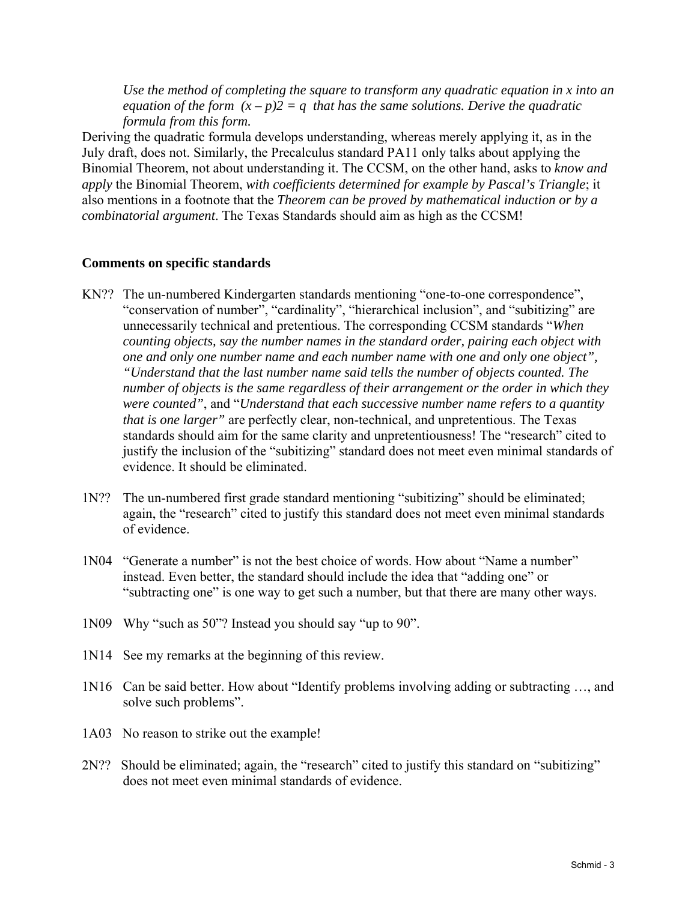*Use the method of completing the square to transform any quadratic equation in x into an equation of the form*  $(x - p)2 = q$  that has the same solutions. Derive the quadratic *formula from this form.* 

Deriving the quadratic formula develops understanding, whereas merely applying it, as in the July draft, does not. Similarly, the Precalculus standard PA11 only talks about applying the Binomial Theorem, not about understanding it. The CCSM, on the other hand, asks to *know and apply* the Binomial Theorem, *with coefficients determined for example by Pascal's Triangle*; it also mentions in a footnote that the *Theorem can be proved by mathematical induction or by a combinatorial argument*. The Texas Standards should aim as high as the CCSM!

#### **Comments on specific standards**

- KN?? The un-numbered Kindergarten standards mentioning "one-to-one correspondence", "conservation of number", "cardinality", "hierarchical inclusion", and "subitizing" are unnecessarily technical and pretentious. The corresponding CCSM standards "*When counting objects, say the number names in the standard order, pairing each object with one and only one number name and each number name with one and only one object", "Understand that the last number name said tells the number of objects counted. The number of objects is the same regardless of their arrangement or the order in which they were counted"*, and "*Understand that each successive number name refers to a quantity that is one larger"* are perfectly clear, non-technical, and unpretentious. The Texas standards should aim for the same clarity and unpretentiousness! The "research" cited to justify the inclusion of the "subitizing" standard does not meet even minimal standards of evidence. It should be eliminated.
- 1N?? The un-numbered first grade standard mentioning "subitizing" should be eliminated; of evidence again, the "research" cited to justify this standard does not meet even minimal standards
- 1N04 "Generate a number" is not the best choice of words. How about "Name a number" instead. Even better, the standard should include the idea that "adding one" or "subtracting one" is one way to get such a number, but that there are many other ways.
- 1N09 Why "such as 50"? Instead you should say "up to 90".
- 1N14 See my remarks at the beginning of this review.
- 1N16 Can be said better. How about "Identify problems involving adding or subtracting …, and solve such problems".
- 1A03 No reason to strike out the example!
- 2N?? Should be eliminated; again, the "research" cited to justify this standard on "subitizing" does not meet even minimal standards of evidence.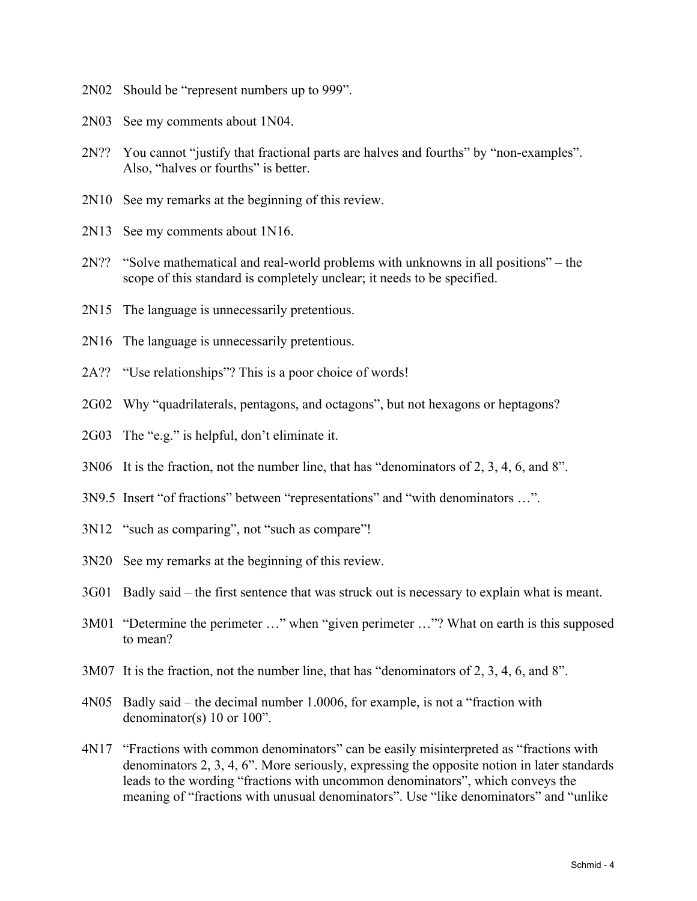- 2N02 Should be "represent numbers up to 999".
- 2N03 See my comments about 1N04.
- 2N?? You cannot "justify that fractional parts are halves and fourths" by "non-examples". Also, "halves or fourths" is better.
- 2N10 See my remarks at the beginning of this review.
- 2N13 See my comments about 1N16.
- 2N?? "Solve mathematical and real-world problems with unknowns in all positions" the scope of this standard is completely unclear; it needs to be specified.
- 2N15 The language is unnecessarily pretentious.
- 2N16 The language is unnecessarily pretentious.
- 2A?? "Use relationships"? This is a poor choice of words!
- 2G02 Why "quadrilaterals, pentagons, and octagons", but not hexagons or heptagons?<br>2G03 The "e.g." is helpful, don't eliminate it.
- 
- 3N06 It is the fraction, not the number line, that has "denominators of 2, 3, 4, 6, and 8".
- 3N9.5 Insert "of fractions" between "representations" and "with denominators …".
- 3N12 "such as comparing", not "such as compare"!
- 3N20 See my remarks at the beginning of this review.
- 3G01 Badly said the first sentence that was struck out is necessary to explain what is meant.
- 3M01 "Determine the perimeter …" when "given perimeter …"? What on earth is this supposed to mean?
- 3M07 It is the fraction, not the number line, that has "denominators of 2, 3, 4, 6, and 8".
- 4N05 Badly said the decimal number 1.0006, for example, is not a "fraction with denominator(s) 10 or 100".
- 4N17 "Fractions with common denominators" can be easily misinterpreted as "fractions with denominators 2, 3, 4, 6". More seriously, expressing the opposite notion in later standards leads to the wording "fractions with uncommon denominators", which conveys the meaning of "fractions with unusual denominators". Use "like denominators" and "unlike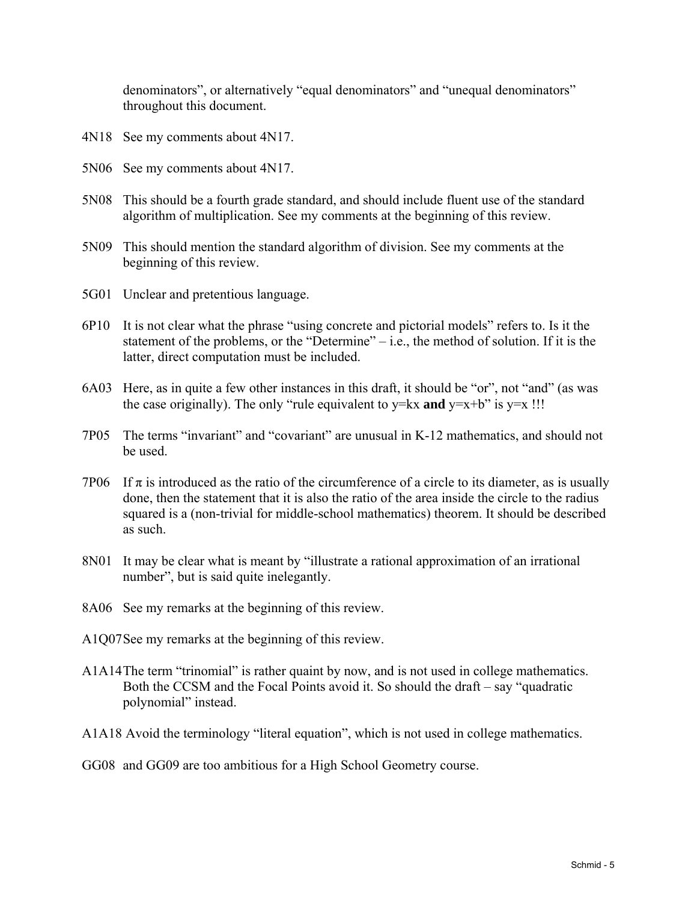denominators", or alternatively "equal denominators" and "unequal denominators" throughout this document.

- 4N18 See my comments about 4N17.
- 5N06 See my comments about 4N17.
- 5N08 This should be a fourth grade standard, and should include fluent use of the standard algorithm of multiplication. See my comments at the beginning of this review.
- 5N09 This should mention the standard algorithm of division. See my comments at the beginning of this review.
- 5G01 Unclear and pretentious language.
- 6P10 It is not clear what the phrase "using concrete and pictorial models" refers to. Is it the statement of the problems, or the "Determine" – i.e., the method of solution. If it is the latter, direct computation must be included.
- 6A03 Here, as in quite a few other instances in this draft, it should be "or", not "and" (as was the case originally). The only "rule equivalent to  $y= kx$  and  $y=x+b$ " is  $y=x$  !!!
- 7P05 The terms "invariant" and "covariant" are unusual in K-12 mathematics, and should not be used.
- 7P06 If  $\pi$  is introduced as the ratio of the circumference of a circle to its diameter, as is usually done, then the statement that it is also the ratio of the area inside the circle to the radius squared is a (non-trivial for middle-school mathematics) theorem. It should be described as such.
- 8N01 It may be clear what is meant by "illustrate a rational approximation of an irrational number", but is said quite inelegantly.
- 8A06 See my remarks at the beginning of this review.
- A1Q07 See my remarks at the beginning of this review.
- A1A14 The term "trinomial" is rather quaint by now, and is not used in college mathematics. Both the CCSM and the Focal Points avoid it. So should the draft – say "quadratic polynomial" instead.
- A1A18 Avoid the terminology "literal equation", which is not used in college mathematics.
- GG08 and GG09 are too ambitious for a High School Geometry course.